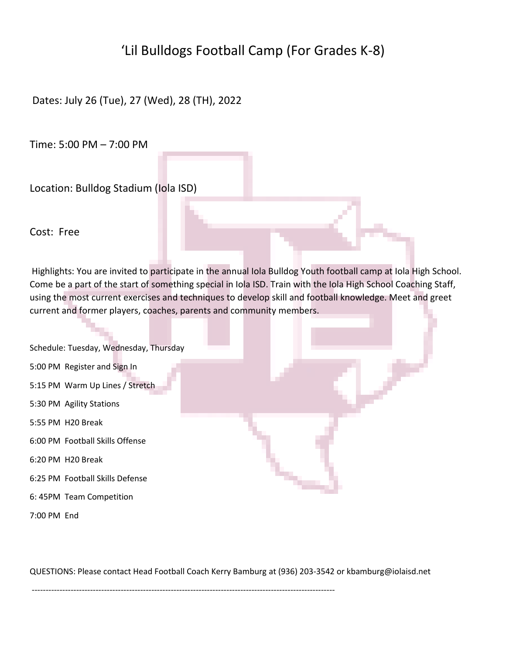## 'Lil Bulldogs Football Camp (For Grades K-8)

Dates: July 26 (Tue), 27 (Wed), 28 (TH), 2022

Time: 5:00 PM – 7:00 PM

Location: Bulldog Stadium (Iola ISD)

Cost: Free

Highlights: You are invited to participate in the annual Iola Bulldog Youth football camp at Iola High School. Come be a part of the start of something special in Iola ISD. Train with the Iola High School Coaching Staff, using the most current exercises and techniques to develop skill and football knowledge. Meet and greet current and former players, coaches, parents and community members.

| Schedule: Tuesday, Wednesday, Thursday |  |  |
|----------------------------------------|--|--|
| 5:00 PM Register and Sign In           |  |  |
| 5:15 PM Warm Up Lines / Stretch        |  |  |
| 5:30 PM Agility Stations               |  |  |
| 5:55 PM H20 Break                      |  |  |
| 6:00 PM Football Skills Offense        |  |  |
| 6:20 PM H20 Break                      |  |  |
| 6:25 PM Football Skills Defense        |  |  |
| 6: 45PM Team Competition               |  |  |

7:00 PM End

QUESTIONS: Please contact Head Football Coach Kerry Bamburg at (936) 203-3542 or kbamburg@iolaisd.net

-------------------------------------------------------------------------------------------------------------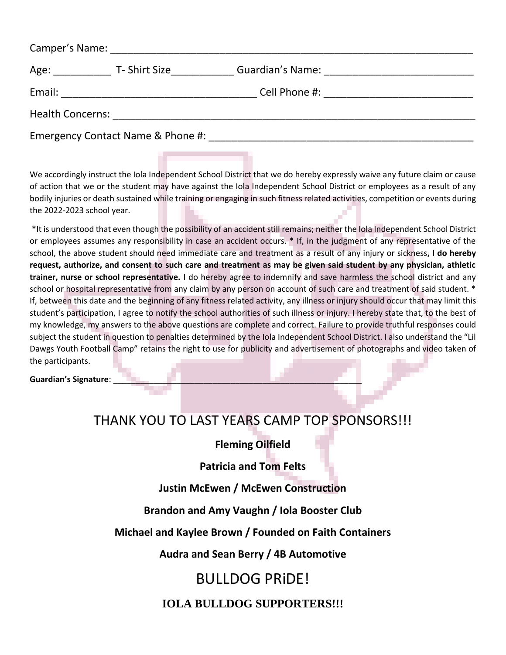| Camper's Name: Name: Name and Separate and Separate and Separate and Separate and Separate and Separate and Separate and Separate and Separate and Separate and Separate and Separate and Separate and Separate and Separate a |                                                                                                                      |  |  |  |
|--------------------------------------------------------------------------------------------------------------------------------------------------------------------------------------------------------------------------------|----------------------------------------------------------------------------------------------------------------------|--|--|--|
| Age:                                                                                                                                                                                                                           | T- Shirt Size                                                                                                        |  |  |  |
| Email:                                                                                                                                                                                                                         | <u> 1990 - Johann John Harry Harry Harry Harry Harry Harry Harry Harry Harry Harry Harry Harry Harry Harry Harry</u> |  |  |  |
| <b>Health Concerns:</b>                                                                                                                                                                                                        |                                                                                                                      |  |  |  |
|                                                                                                                                                                                                                                | Emergency Contact Name & Phone #:                                                                                    |  |  |  |

We accordingly instruct the Iola Independent School District that we do hereby expressly waive any future claim or cause of action that we or the student may have against the Iola Independent School District or employees as a result of any bodily injuries or death sustained while training or engaging in such fitness related activities, competition or events during the 2022-2023 school year.

\*It is understood that even though the possibility of an accident still remains; neither the Iola Independent School District or employees assumes any responsibility in case an accident occurs. \* If, in the judgment of any representative of the school, the above student should need immediate care and treatment as a result of any injury or sickness**, I do hereby request, authorize, and consent to such care and treatment as may be given said student by any physician, athletic trainer, nurse or school representative.** I do hereby agree to indemnify and save harmless the school district and any school or hospital representative from any claim by any person on account of such care and treatment of said student. \* If, between this date and the beginning of any fitness related activity, any illness or injury should occur that may limit this student's participation, I agree to notify the school authorities of such illness or injury. I hereby state that, to the best of my knowledge, my answers to the above questions are complete and correct. Failure to provide truthful responses could subject the student in question to penalties determined by the Iola Independent School District. I also understand the "Lil Dawgs Youth Football Camp" retains the right to use for publicity and advertisement of photographs and video taken of the participants.

Guardian's Signature:

## THANK YOU TO LAST YEARS CAMP TOP SPONSORS!!!

**Fleming Oilfield**

**Patricia and Tom Felts**

**Justin McEwen / McEwen Construction**

**Brandon and Amy Vaughn / Iola Booster Club**

**Michael and Kaylee Brown / Founded on Faith Containers**

**Audra and Sean Berry / 4B Automotive**

# BULLDOG PRiDE!

## **IOLA BULLDOG SUPPORTERS!!!**